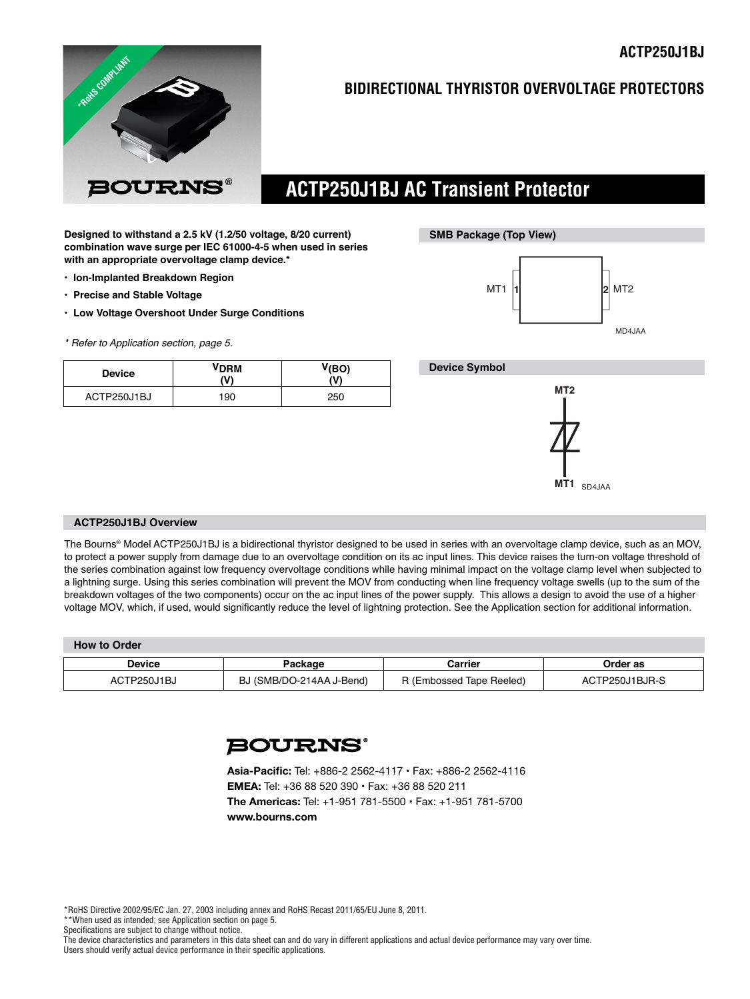

## **BIDIRECTIONAL THYRISTOR OVERVOLTAGE PROTECTORS**

# **ACTP250J1BJ AC Transient Protector**

**Designed to withstand a 2.5 kV (1.2/50 voltage, 8/20 current) combination wave surge per IEC 61000-4-5 when used in series with an appropriate overvoltage clamp device.\***

- **Ion-Implanted Breakdown Region**
- **Precise and Stable Voltage**
- **Low Voltage Overshoot Under Surge Conditions**
- *\* Refer to Application section, page 5.*

| <b>Device</b> | <b>VDRM</b><br>ハハ | V(BO)<br>w١ |
|---------------|-------------------|-------------|
| ACTP250J1BJ   | 190               | 250         |



### **Device Symbol**



#### **ACTP250J1BJ Overview**

The Bourns® Model ACTP250J1BJ is a bidirectional thyristor designed to be used in series with an overvoltage clamp device, such as an MOV, to protect a power supply from damage due to an overvoltage condition on its ac input lines. This device raises the turn-on voltage threshold of the series combination against low frequency overvoltage conditions while having minimal impact on the voltage clamp level when subjected to a lightning surge. Using this series combination will prevent the MOV from conducting when line frequency voltage swells (up to the sum of the breakdown voltages of the two components) occur on the ac input lines of the power supply. This allows a design to avoid the use of a higher voltage MOV, which, if used, would significantly reduce the level of lightning protection. See the Application section for additional information.

| <b>How to Order</b> |                          |                          |                |  |  |
|---------------------|--------------------------|--------------------------|----------------|--|--|
| Device              | Packaɑe                  | Carrier                  | Order as       |  |  |
| ACTP250J1BJ         | BJ (SMB/DO-214AA J-Bend) | R (Embossed Tape Reeled) | ACTP250J1BJR-S |  |  |

## **BOURNS®**

**Asia-Pacific:** Tel: +886-2 2562-4117 • Fax: +886-2 2562-4116 **EMEA:** Tel: +36 88 520 390 • Fax: +36 88 520 211 **The Americas:** Tel: +1-951 781-5500 • Fax: +1-951 781-5700 **www.bourns.com**

\*RoHS Directive 2002/95/EC Jan. 27, 2003 including annex and RoHS Recast 2011/65/EU June 8, 2011.

\*\*When used as intended; see Application section on page 5.

Specifications are subject to change without notice.

The device characteristics and parameters in this data sheet can and do vary in different applications and actual device performance may vary over time. Users should verify actual device performance in their specific applications.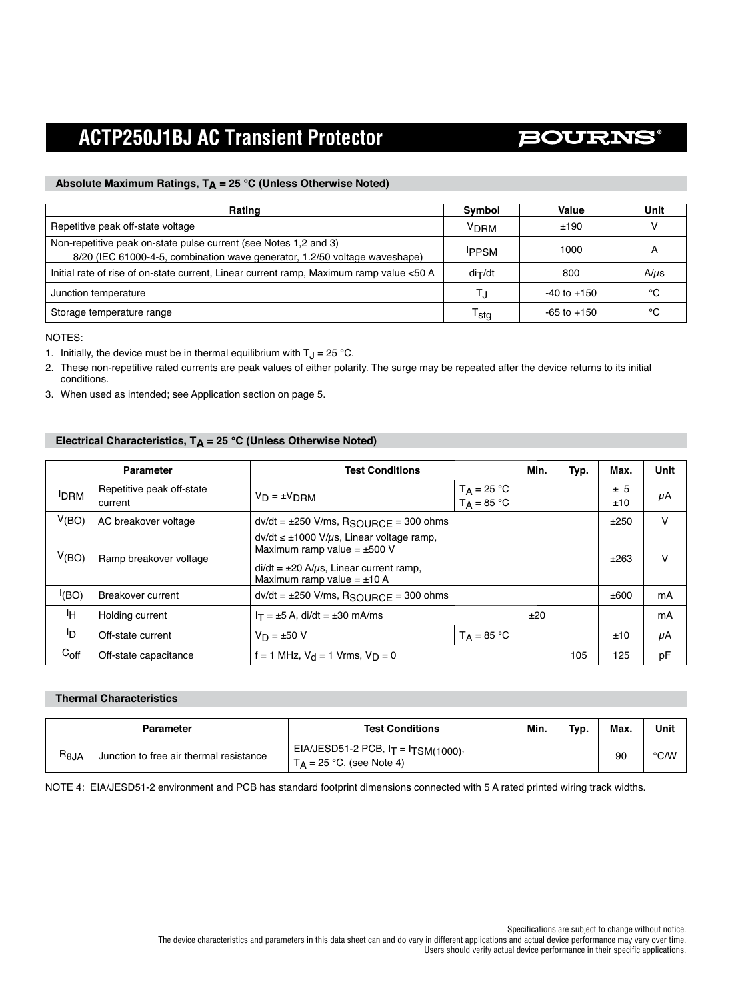# **BOURNS®**

### Absolute Maximum Ratings, T<sub>A</sub> = 25 °C (Unless Otherwise Noted)

| Rating                                                                                                                                         | Symbol           | Value           | Unit      |
|------------------------------------------------------------------------------------------------------------------------------------------------|------------------|-----------------|-----------|
| Repetitive peak off-state voltage                                                                                                              | V <sub>DRM</sub> | ±190            |           |
| Non-repetitive peak on-state pulse current (see Notes 1,2 and 3)<br>8/20 (IEC 61000-4-5, combination wave generator, 1.2/50 voltage waveshape) | <b>IPPSM</b>     | 1000            |           |
| Initial rate of rise of on-state current, Linear current ramp, Maximum ramp value <50 A                                                        | $di$ ⊤/dt        | 800             | $A/\mu s$ |
| Junction temperature                                                                                                                           |                  | $-40$ to $+150$ | °C        |
| Storage temperature range                                                                                                                      | <sup>I</sup> sta | $-65$ to $+150$ | °C        |

NOTES:

- 1. Initially, the device must be in thermal equilibrium with  $T_J = 25 \text{ °C}$ .
- 2. These non-repetitive rated currents are peak values of either polarity. The surge may be repeated after the device returns to its initial conditions.
- 3. When used as intended; see Application section on page 5.

## Electrical Characteristics, T<sub>A</sub> = 25 °C (Unless Otherwise Noted)

| <b>Parameter</b> |                                      | <b>Test Conditions</b>                                                                                                                                                             |                                | Min. | Typ. | Max.       | <b>Unit</b> |
|------------------|--------------------------------------|------------------------------------------------------------------------------------------------------------------------------------------------------------------------------------|--------------------------------|------|------|------------|-------------|
| <b>IDRM</b>      | Repetitive peak off-state<br>current | $V_D = \pm V_{DBM}$                                                                                                                                                                | $T_A = 25 °C$<br>$T_A = 85 °C$ |      |      | ± 5<br>±10 | μA          |
| V(BO)            | AC breakover voltage                 | $dv/dt = \pm 250$ V/ms, $R_{\text{SOURCE}} = 300$ ohms                                                                                                                             |                                |      |      | ±250       | v           |
| V(BO)            | Ramp breakover voltage               | $dv/dt \leq \pm 1000$ V/ $\mu$ s, Linear voltage ramp,<br>Maximum ramp value = $\pm 500$ V<br>$di/dt = \pm 20$ A/ $\mu$ s, Linear current ramp,<br>Maximum ramp value = $\pm$ 10 A |                                |      |      | ±263       | v           |
| I(BO)            | Breakover current                    | $dv/dt = \pm 250$ V/ms, RSOURCF = 300 ohms                                                                                                                                         |                                |      |      | ±600       | mA          |
| ŀн               | Holding current                      | $I_T = \pm 5$ A, di/dt = $\pm 30$ mA/ms                                                                                                                                            |                                | ±20  |      |            | mA          |
| ID.              | Off-state current                    | $V_D = \pm 50 V$                                                                                                                                                                   | $T_A = 85 °C$                  |      |      | ±10        | μA          |
| $C_{\text{off}}$ | Off-state capacitance                | f = 1 MHz, $V_{d}$ = 1 Vrms, $V_{D}$ = 0                                                                                                                                           |                                |      | 105  | 125        | рF          |

### **Thermal Characteristics**

|                 | Parameter                               | <b>Test Conditions</b>                                                   | Min. | Tvp. | Max. | Unit |
|-----------------|-----------------------------------------|--------------------------------------------------------------------------|------|------|------|------|
| $R_{\theta}$ JA | Junction to free air thermal resistance | EIA/JESD51-2 PCB, $I_T = I_{TSM(1000)}$ ,<br>$T_A = 25$ °C, (see Note 4) |      |      | 90   | °C/W |

NOTE 4: EIA/JESD51-2 environment and PCB has standard footprint dimensions connected with 5 A rated printed wiring track widths.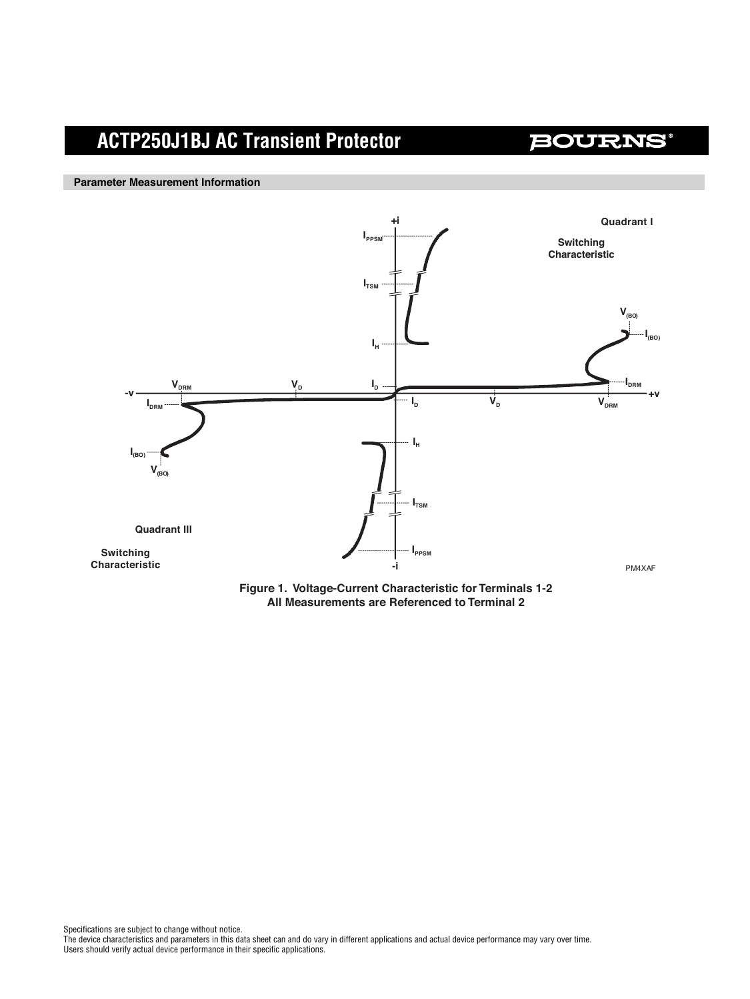## **BOURNS®**

**Parameter Measurement Information**



**Figure 1. Voltage-Current Characteristic for Terminals 1-2 All Measurements are Referenced to Terminal 2**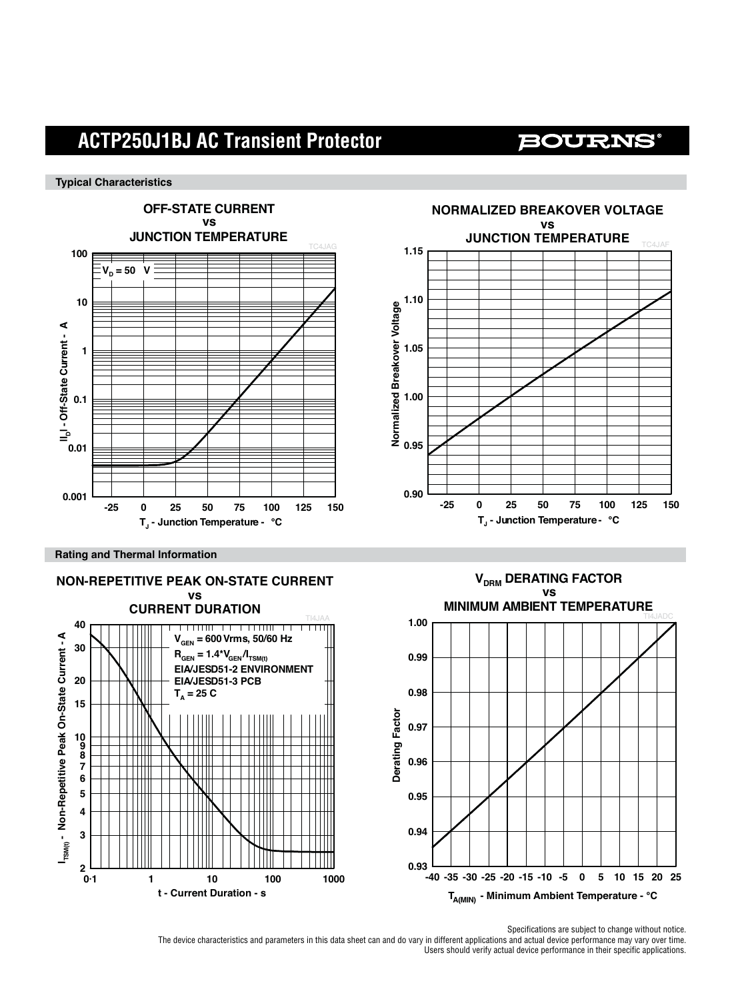## **BOURNS®**

#### **Typical Characteristics**



**Rating and Thermal Information**





**TA(MIN) - Minimum Ambient Temperature - °C**

Specifications are subject to change without notice.

The device characteristics and parameters in this data sheet can and do vary in different applications and actual device performance may vary over time. Users should verify actual device performance in their specific applications.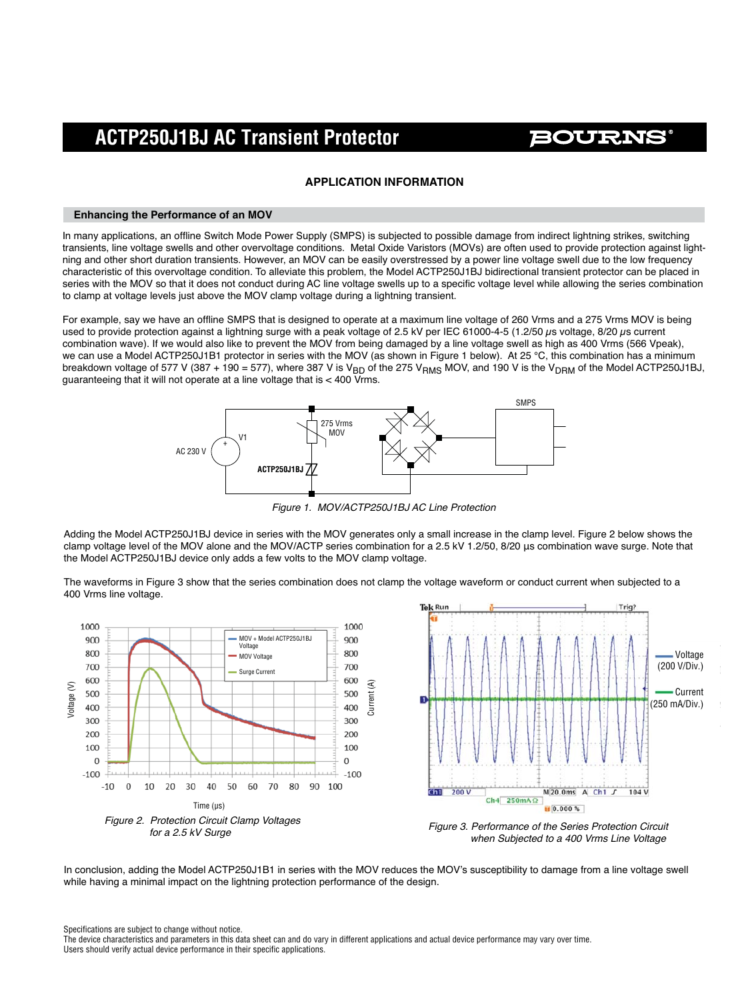**BOURNS** 

### **APPLICATION INFORMATION**

#### **Enhancing the Performance of an MOV**

In many applications, an offline Switch Mode Power Supply (SMPS) is subjected to possible damage from indirect lightning strikes, switching transients, line voltage swells and other overvoltage conditions. Metal Oxide Varistors (MOVs) are often used to provide protection against lightning and other short duration transients. However, an MOV can be easily overstressed by a power line voltage swell due to the low frequency characteristic of this overvoltage condition. To alleviate this problem, the Model ACTP250J1BJ bidirectional transient protector can be placed in series with the MOV so that it does not conduct during AC line voltage swells up to a specific voltage level while allowing the series combination to clamp at voltage levels just above the MOV clamp voltage during a lightning transient.

For example, say we have an offline SMPS that is designed to operate at a maximum line voltage of 260 Vrms and a 275 Vrms MOV is being used to provide protection against a lightning surge with a peak voltage of 2.5 kV per IEC 61000-4-5 (1.2/50 μs voltage, 8/20 μs current combination wave). If we would also like to prevent the MOV from being damaged by a line voltage swell as high as 400 Vrms (566 Vpeak), we can use a Model ACTP250J1B1 protector in series with the MOV (as shown in Figure 1 below). At 25 °C, this combination has a minimum breakdown voltage of 577 V (387 + 190 = 577), where 387 V is V<sub>BD</sub> of the 275 V<sub>RMS</sub> MOV, and 190 V is the V<sub>DRM</sub> of the Model ACTP250J1BJ, guaranteeing that it will not operate at a line voltage that is < 400 Vrms.



*Figure 1. MOV/ACTP250J1BJ AC Line Protection*

Adding the Model ACTP250J1BJ device in series with the MOV generates only a small increase in the clamp level. Figure 2 below shows the clamp voltage level of the MOV alone and the MOV/ACTP series combination for a 2.5 kV 1.2/50, 8/20 μs combination wave surge. Note that the Model ACTP250J1BJ device only adds a few volts to the MOV clamp voltage.

The waveforms in Figure 3 show that the series combination does not clamp the voltage waveform or conduct current when subjected to a 400 Vrms line voltage.





 *when Subjected to a 400 Vrms Line Voltage*

In conclusion, adding the Model ACTP250J1B1 in series with the MOV reduces the MOV's susceptibility to damage from a line voltage swell while having a minimal impact on the lightning protection performance of the design.

Specifications are subject to change without notice.

The device characteristics and parameters in this data sheet can and do vary in different applications and actual device performance may vary over time. Users should verify actual device performance in their specific applications.